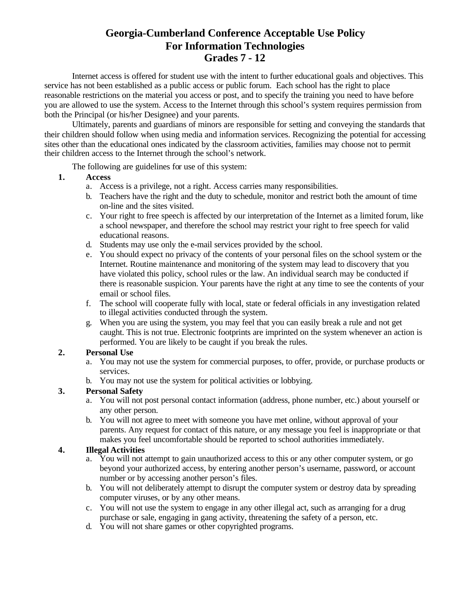# **Georgia-Cumberland Conference Acceptable Use Policy For Information Technologies Grades 7 - 12**

Internet access is offered for student use with the intent to further educational goals and objectives. This service has not been established as a public access or public forum. Each school has the right to place reasonable restrictions on the material you access or post, and to specify the training you need to have before you are allowed to use the system. Access to the Internet through this school's system requires permission from both the Principal (or his/her Designee) and your parents.

Ultimately, parents and guardians of minors are responsible for setting and conveying the standards that their children should follow when using media and information services. Recognizing the potential for accessing sites other than the educational ones indicated by the classroom activities, families may choose not to permit their children access to the Internet through the school's network.

The following are guidelines for use of this system:

- **1. Access**
	- a. Access is a privilege, not a right. Access carries many responsibilities.
	- b. Teachers have the right and the duty to schedule, monitor and restrict both the amount of time on-line and the sites visited.
	- c. Your right to free speech is affected by our interpretation of the Internet as a limited forum, like a school newspaper, and therefore the school may restrict your right to free speech for valid educational reasons.
	- d. Students may use only the e-mail services provided by the school.
	- e. You should expect no privacy of the contents of your personal files on the school system or the Internet. Routine maintenance and monitoring of the system may lead to discovery that you have violated this policy, school rules or the law. An individual search may be conducted if there is reasonable suspicion. Your parents have the right at any time to see the contents of your email or school files.
	- f. The school will cooperate fully with local, state or federal officials in any investigation related to illegal activities conducted through the system.
	- g. When you are using the system, you may feel that you can easily break a rule and not get caught. This is not true. Electronic footprints are imprinted on the system whenever an action is performed. You are likely to be caught if you break the rules.

#### **2. Personal Use**

- a. You may not use the system for commercial purposes, to offer, provide, or purchase products or services.
- b. You may not use the system for political activities or lobbying.

#### **3. Personal Safety**

- a. You will not post personal contact information (address, phone number, etc.) about yourself or any other person.
- b. You will not agree to meet with someone you have met online, without approval of your parents. Any request for contact of this nature, or any message you feel is inappropriate or that makes you feel uncomfortable should be reported to school authorities immediately.

#### **4. Illegal Activities**

- a. You will not attempt to gain unauthorized access to this or any other computer system, or go beyond your authorized access, by entering another person's username, password, or account number or by accessing another person's files.
- b. You will not deliberately attempt to disrupt the computer system or destroy data by spreading computer viruses, or by any other means.
- c. You will not use the system to engage in any other illegal act, such as arranging for a drug purchase or sale, engaging in gang activity, threatening the safety of a person, etc.
- d. You will not share games or other copyrighted programs.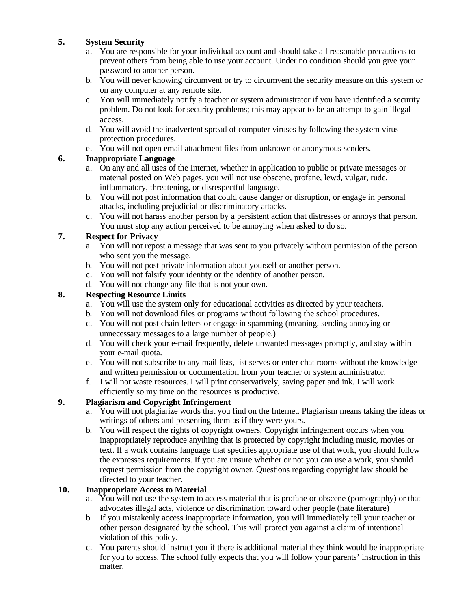## **5. System Security**

- a. You are responsible for your individual account and should take all reasonable precautions to prevent others from being able to use your account. Under no condition should you give your password to another person.
- b. You will never knowing circumvent or try to circumvent the security measure on this system or on any computer at any remote site.
- c. You will immediately notify a teacher or system administrator if you have identified a security problem. Do not look for security problems; this may appear to be an attempt to gain illegal access.
- d. You will avoid the inadvertent spread of computer viruses by following the system virus protection procedures.
- e. You will not open email attachment files from unknown or anonymous senders.

## **6. Inappropriate Language**

- a. On any and all uses of the Internet, whether in application to public or private messages or material posted on Web pages, you will not use obscene, profane, lewd, vulgar, rude, inflammatory, threatening, or disrespectful language.
- b. You will not post information that could cause danger or disruption, or engage in personal attacks, including prejudicial or discriminatory attacks.
- c. You will not harass another person by a persistent action that distresses or annoys that person. You must stop any action perceived to be annoying when asked to do so.

## **7. Respect for Privacy**

- a. You will not repost a message that was sent to you privately without permission of the person who sent you the message.
- b. You will not post private information about yourself or another person.
- c. You will not falsify your identity or the identity of another person.
- d. You will not change any file that is not your own.

## **8. Respecting Resource Limits**

- a. You will use the system only for educational activities as directed by your teachers.
- b. You will not download files or programs without following the school procedures.
- c. You will not post chain letters or engage in spamming (meaning, sending annoying or unnecessary messages to a large number of people.)
- d. You will check your e-mail frequently, delete unwanted messages promptly, and stay within your e-mail quota.
- e. You will not subscribe to any mail lists, list serves or enter chat rooms without the knowledge and written permission or documentation from your teacher or system administrator.
- f. I will not waste resources. I will print conservatively, saving paper and ink. I will work efficiently so my time on the resources is productive.

## **9. Plagiarism and Copyright Infringement**

- a. You will not plagiarize words that you find on the Internet. Plagiarism means taking the ideas or writings of others and presenting them as if they were yours.
- b. You will respect the rights of copyright owners. Copyright infringement occurs when you inappropriately reproduce anything that is protected by copyright including music, movies or text. If a work contains language that specifies appropriate use of that work, you should follow the expresses requirements. If you are unsure whether or not you can use a work, you should request permission from the copyright owner. Questions regarding copyright law should be directed to your teacher.

#### **10. Inappropriate Access to Material**

- a. You will not use the system to access material that is profane or obscene (pornography) or that advocates illegal acts, violence or discrimination toward other people (hate literature)
- b. If you mistakenly access inappropriate information, you will immediately tell your teacher or other person designated by the school. This will protect you against a claim of intentional violation of this policy.
- c. You parents should instruct you if there is additional material they think would be inappropriate for you to access. The school fully expects that you will follow your parents' instruction in this matter.